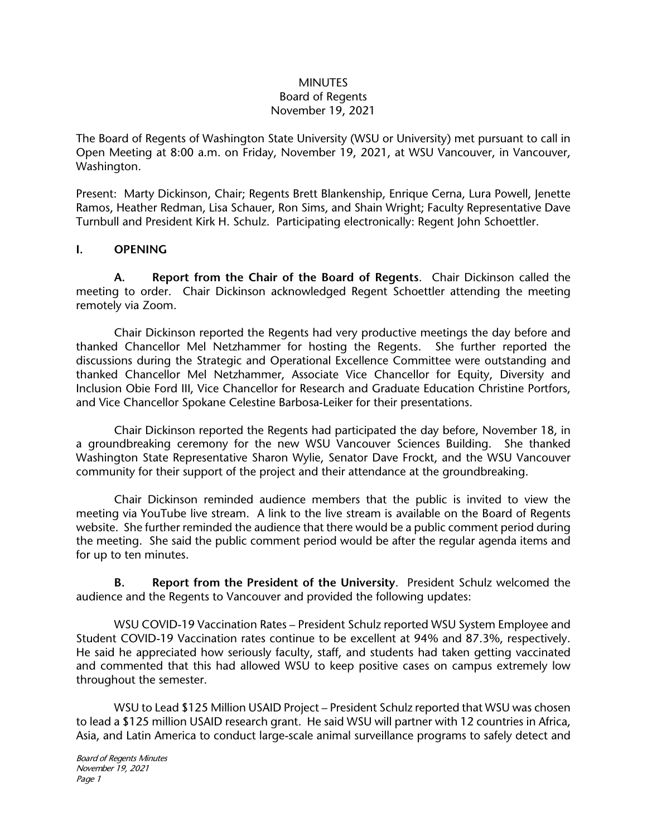#### **MINUTES** Board of Regents November 19, 2021

The Board of Regents of Washington State University (WSU or University) met pursuant to call in Open Meeting at 8:00 a.m. on Friday, November 19, 2021, at WSU Vancouver, in Vancouver, Washington.

Present: Marty Dickinson, Chair; Regents Brett Blankenship, Enrique Cerna, Lura Powell, Jenette Ramos, Heather Redman, Lisa Schauer, Ron Sims, and Shain Wright; Faculty Representative Dave Turnbull and President Kirk H. Schulz. Participating electronically: Regent John Schoettler.

## **I. OPENING**

**A. Report from the Chair of the Board of Regents**. Chair Dickinson called the meeting to order. Chair Dickinson acknowledged Regent Schoettler attending the meeting remotely via Zoom.

Chair Dickinson reported the Regents had very productive meetings the day before and thanked Chancellor Mel Netzhammer for hosting the Regents. She further reported the discussions during the Strategic and Operational Excellence Committee were outstanding and thanked Chancellor Mel Netzhammer, Associate Vice Chancellor for Equity, Diversity and Inclusion Obie Ford III, Vice Chancellor for Research and Graduate Education Christine Portfors, and Vice Chancellor Spokane Celestine Barbosa-Leiker for their presentations.

Chair Dickinson reported the Regents had participated the day before, November 18, in a groundbreaking ceremony for the new WSU Vancouver Sciences Building. She thanked Washington State Representative Sharon Wylie, Senator Dave Frockt, and the WSU Vancouver community for their support of the project and their attendance at the groundbreaking.

Chair Dickinson reminded audience members that the public is invited to view the meeting via YouTube live stream. A link to the live stream is available on the Board of Regents website. She further reminded the audience that there would be a public comment period during the meeting. She said the public comment period would be after the regular agenda items and for up to ten minutes.

**B. Report from the President of the University**. President Schulz welcomed the audience and the Regents to Vancouver and provided the following updates:

WSU COVID-19 Vaccination Rates – President Schulz reported WSU System Employee and Student COVID-19 Vaccination rates continue to be excellent at 94% and 87.3%, respectively. He said he appreciated how seriously faculty, staff, and students had taken getting vaccinated and commented that this had allowed WSU to keep positive cases on campus extremely low throughout the semester.

WSU to Lead \$125 Million USAID Project – President Schulz reported that WSU was chosen to lead a \$125 million USAID research grant. He said WSU will partner with 12 countries in Africa, Asia, and Latin America to conduct large-scale animal surveillance programs to safely detect and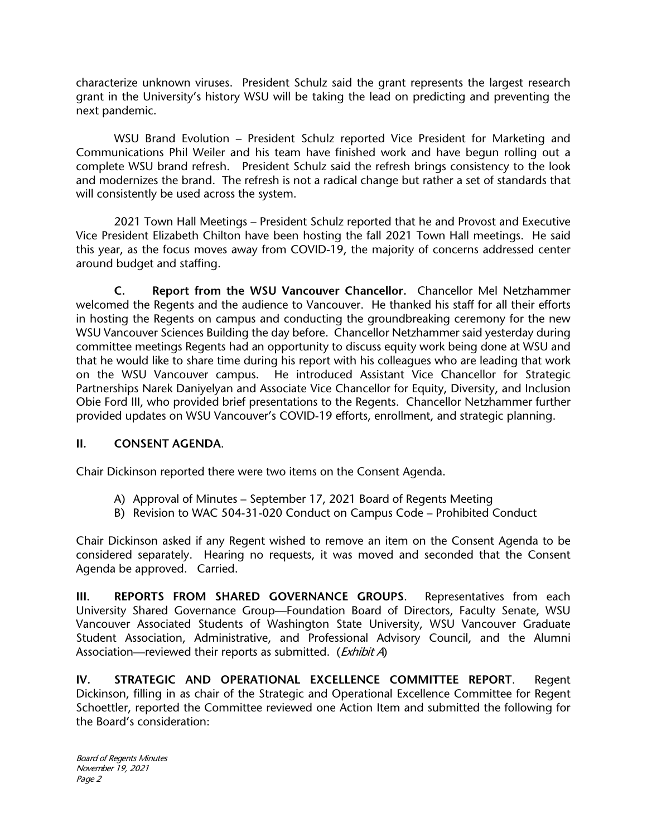characterize unknown viruses. President Schulz said the grant represents the largest research grant in the University's history WSU will be taking the lead on predicting and preventing the next pandemic.

WSU Brand Evolution – President Schulz reported Vice President for Marketing and Communications Phil Weiler and his team have finished work and have begun rolling out a complete WSU brand refresh. President Schulz said the refresh brings consistency to the look and modernizes the brand. The refresh is not a radical change but rather a set of standards that will consistently be used across the system.

2021 Town Hall Meetings – President Schulz reported that he and Provost and Executive Vice President Elizabeth Chilton have been hosting the fall 2021 Town Hall meetings. He said this year, as the focus moves away from COVID-19, the majority of concerns addressed center around budget and staffing.

**C. Report from the WSU Vancouver Chancellor.** Chancellor Mel Netzhammer welcomed the Regents and the audience to Vancouver. He thanked his staff for all their efforts in hosting the Regents on campus and conducting the groundbreaking ceremony for the new WSU Vancouver Sciences Building the day before. Chancellor Netzhammer said yesterday during committee meetings Regents had an opportunity to discuss equity work being done at WSU and that he would like to share time during his report with his colleagues who are leading that work on the WSU Vancouver campus. He introduced Assistant Vice Chancellor for Strategic Partnerships Narek Daniyelyan and Associate Vice Chancellor for Equity, Diversity, and Inclusion Obie Ford III, who provided brief presentations to the Regents. Chancellor Netzhammer further provided updates on WSU Vancouver's COVID-19 efforts, enrollment, and strategic planning.

## **II. CONSENT AGENDA**.

Chair Dickinson reported there were two items on the Consent Agenda.

- A) Approval of Minutes September 17, 2021 Board of Regents Meeting
- B) Revision to WAC 504-31-020 Conduct on Campus Code Prohibited Conduct

Chair Dickinson asked if any Regent wished to remove an item on the Consent Agenda to be considered separately. Hearing no requests, it was moved and seconded that the Consent Agenda be approved. Carried.

**III. REPORTS FROM SHARED GOVERNANCE GROUPS**. Representatives from each University Shared Governance Group—Foundation Board of Directors, Faculty Senate, WSU Vancouver Associated Students of Washington State University, WSU Vancouver Graduate Student Association, Administrative, and Professional Advisory Council, and the Alumni Association—reviewed their reports as submitted. (*Exhibit A*)

**IV. STRATEGIC AND OPERATIONAL EXCELLENCE COMMITTEE REPORT**. Regent Dickinson, filling in as chair of the Strategic and Operational Excellence Committee for Regent Schoettler, reported the Committee reviewed one Action Item and submitted the following for the Board's consideration:

Board of Regents Minutes November 19, 2021 Page 2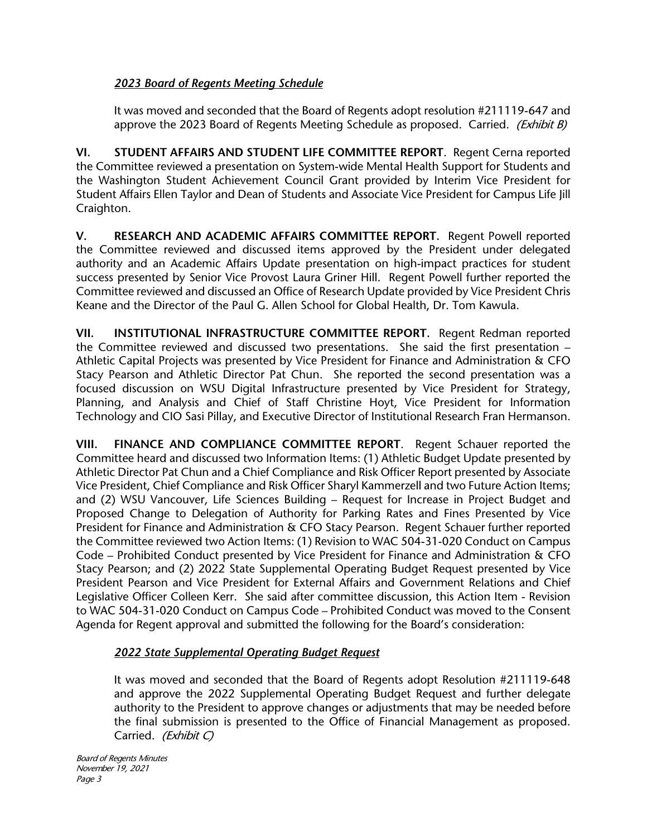# *2023 Board of Regents Meeting Schedule*

It was moved and seconded that the Board of Regents adopt resolution #211119-647 and approve the 2023 Board of Regents Meeting Schedule as proposed. Carried. *(Exhibit B)* 

**VI. STUDENT AFFAIRS AND STUDENT LIFE COMMITTEE REPORT**. Regent Cerna reported the Committee reviewed a presentation on System-wide Mental Health Support for Students and the Washington Student Achievement Council Grant provided by Interim Vice President for Student Affairs Ellen Taylor and Dean of Students and Associate Vice President for Campus Life Jill Craighton.

**V. RESEARCH AND ACADEMIC AFFAIRS COMMITTEE REPORT.** Regent Powell reported the Committee reviewed and discussed items approved by the President under delegated authority and an Academic Affairs Update presentation on high-impact practices for student success presented by Senior Vice Provost Laura Griner Hill. Regent Powell further reported the Committee reviewed and discussed an Office of Research Update provided by Vice President Chris Keane and the Director of the Paul G. Allen School for Global Health, Dr. Tom Kawula.

**VII. INSTITUTIONAL INFRASTRUCTURE COMMITTEE REPORT.** Regent Redman reported the Committee reviewed and discussed two presentations. She said the first presentation – Athletic Capital Projects was presented by Vice President for Finance and Administration & CFO Stacy Pearson and Athletic Director Pat Chun. She reported the second presentation was a focused discussion on WSU Digital Infrastructure presented by Vice President for Strategy, Planning, and Analysis and Chief of Staff Christine Hoyt, Vice President for Information Technology and CIO Sasi Pillay, and Executive Director of Institutional Research Fran Hermanson.

**VIII. FINANCE AND COMPLIANCE COMMITTEE REPORT**. Regent Schauer reported the Committee heard and discussed two Information Items: (1) Athletic Budget Update presented by Athletic Director Pat Chun and a Chief Compliance and Risk Officer Report presented by Associate Vice President, Chief Compliance and Risk Officer Sharyl Kammerzell and two Future Action Items; and (2) WSU Vancouver, Life Sciences Building – Request for Increase in Project Budget and Proposed Change to Delegation of Authority for Parking Rates and Fines Presented by Vice President for Finance and Administration & CFO Stacy Pearson. Regent Schauer further reported the Committee reviewed two Action Items: (1) Revision to WAC 504-31-020 Conduct on Campus Code – Prohibited Conduct presented by Vice President for Finance and Administration & CFO Stacy Pearson; and (2) 2022 State Supplemental Operating Budget Request presented by Vice President Pearson and Vice President for External Affairs and Government Relations and Chief Legislative Officer Colleen Kerr. She said after committee discussion, this Action Item - Revision to WAC 504-31-020 Conduct on Campus Code – Prohibited Conduct was moved to the Consent Agenda for Regent approval and submitted the following for the Board's consideration:

# *2022 State Supplemental Operating Budget Request*

It was moved and seconded that the Board of Regents adopt Resolution #211119-648 and approve the 2022 Supplemental Operating Budget Request and further delegate authority to the President to approve changes or adjustments that may be needed before the final submission is presented to the Office of Financial Management as proposed. Carried. (Exhibit C)

Board of Regents Minutes November 19, 2021 Page 3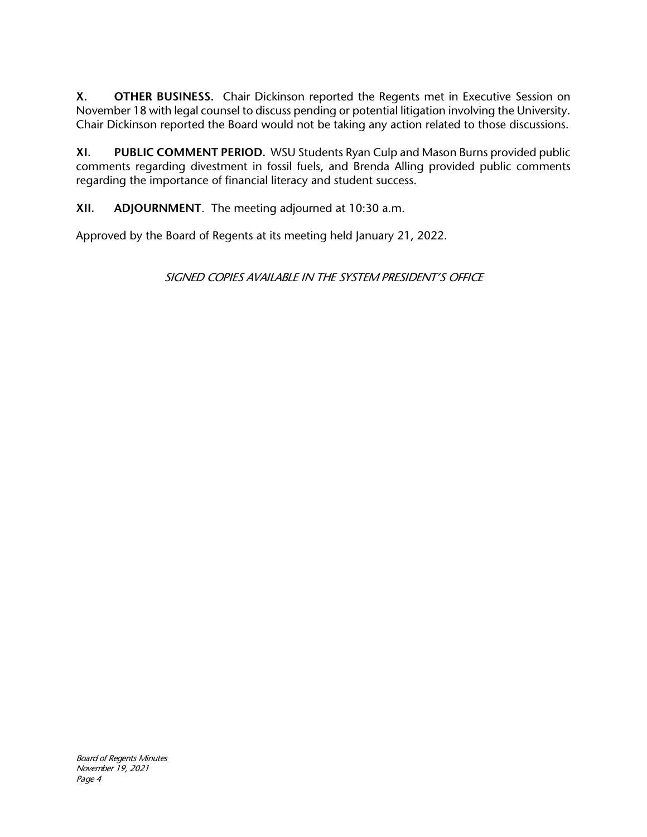**X. OTHER BUSINESS.** Chair Dickinson reported the Regents met in Executive Session on November 18 with legal counsel to discuss pending or potential litigation involving the University. Chair Dickinson reported the Board would not be taking any action related to those discussions.

**XI. PUBLIC COMMENT PERIOD.** WSU Students Ryan Culp and Mason Burns provided public comments regarding divestment in fossil fuels, and Brenda Alling provided public comments regarding the importance of financial literacy and student success.

**XII. ADJOURNMENT**. The meeting adjourned at 10:30 a.m.

Approved by the Board of Regents at its meeting held January 21, 2022.

SIGNED COPIES AVAILABLE IN THE SYSTEM PRESIDENT'S OFFICE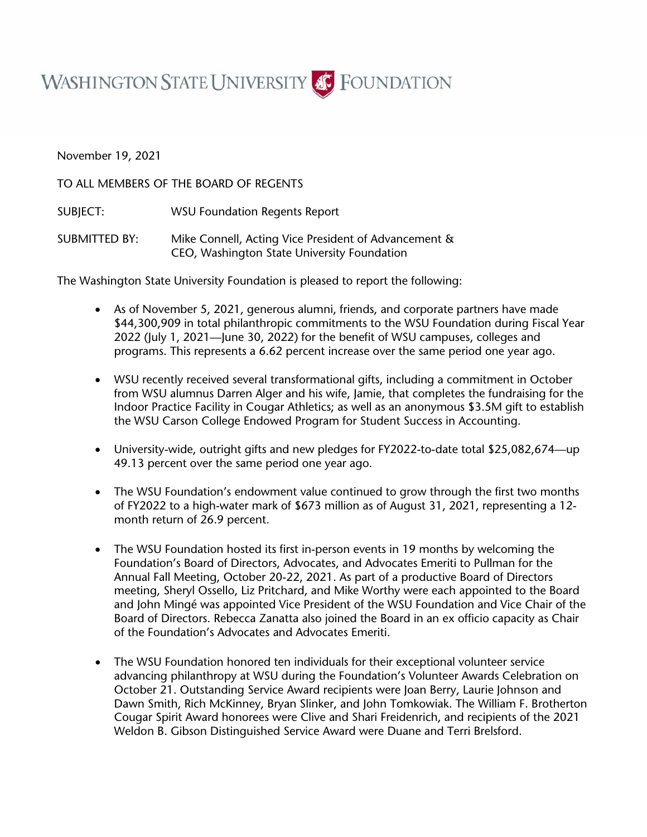

November 19, 2021

TO ALL MEMBERS OF THE BOARD OF REGENTS

SUBJECT: WSU Foundation Regents Report

SUBMITTED BY: Mike Connell, Acting Vice President of Advancement & CEO, Washington State University Foundation

The Washington State University Foundation is pleased to report the following:

- As of November 5, 2021, generous alumni, friends, and corporate partners have made \$44,300,909 in total philanthropic commitments to the WSU Foundation during Fiscal Year 2022 (July 1, 2021—June 30, 2022) for the benefit of WSU campuses, colleges and programs. This represents a 6.62 percent increase over the same period one year ago.
- WSU recently received several transformational gifts, including a commitment in October from WSU alumnus Darren Alger and his wife, Jamie, that completes the fundraising for the Indoor Practice Facility in Cougar Athletics; as well as an anonymous \$3.5M gift to establish the WSU Carson College Endowed Program for Student Success in Accounting.
- University-wide, outright gifts and new pledges for FY2022-to-date total \$25,082,674—up 49.13 percent over the same period one year ago.
- The WSU Foundation's endowment value continued to grow through the first two months of FY2022 to a high-water mark of \$673 million as of August 31, 2021, representing a 12 month return of 26.9 percent.
- The WSU Foundation hosted its first in-person events in 19 months by welcoming the Foundation's Board of Directors, Advocates, and Advocates Emeriti to Pullman for the Annual Fall Meeting, October 20-22, 2021. As part of a productive Board of Directors meeting, Sheryl Ossello, Liz Pritchard, and Mike Worthy were each appointed to the Board and John Mingé was appointed Vice President of the WSU Foundation and Vice Chair of the Board of Directors. Rebecca Zanatta also joined the Board in an ex officio capacity as Chair of the Foundation's Advocates and Advocates Emeriti.
- The WSU Foundation honored ten individuals for their exceptional volunteer service advancing philanthropy at WSU during the Foundation's Volunteer Awards Celebration on October 21. Outstanding Service Award recipients were Joan Berry, Laurie Johnson and Dawn Smith, Rich McKinney, Bryan Slinker, and John Tomkowiak. The William F. Brotherton Cougar Spirit Award honorees were Clive and Shari Freidenrich, and recipients of the 2021 Weldon B. Gibson Distinguished Service Award were Duane and Terri Brelsford.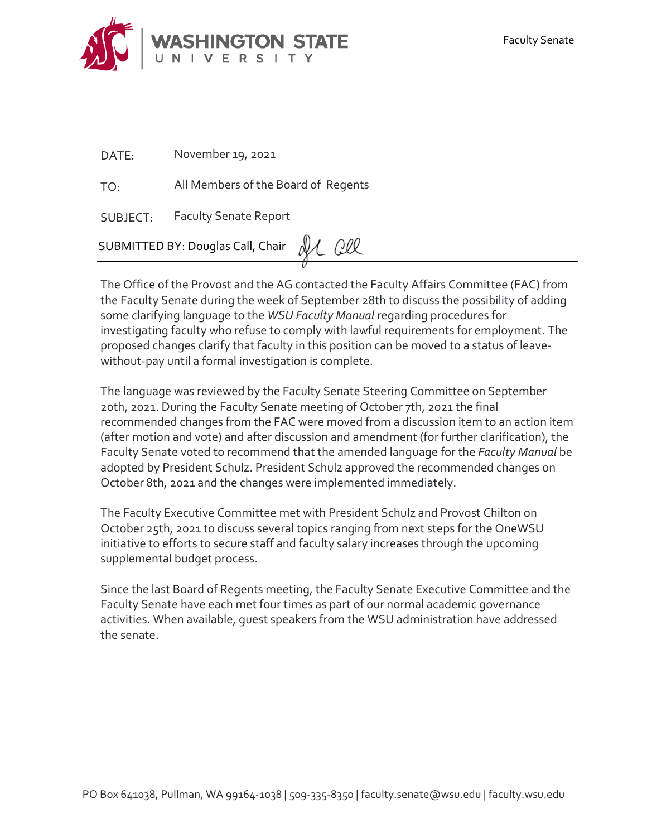

DATE: November 19, 2021

TO: All Members of the Board of Regents

SUBJECT: Faculty Senate Report

SUBMITTED BY: Douglas Call, Chair 21 QU

The Office of the Provost and the AG contacted the Faculty Affairs Committee (FAC) from the Faculty Senate during the week of September 28th to discuss the possibility of adding some clarifying language to the *WSU Faculty Manual* regarding procedures for investigating faculty who refuse to comply with lawful requirements for employment. The proposed changes clarify that faculty in this position can be moved to a status of leavewithout-pay until a formal investigation is complete.

The language was reviewed by the Faculty Senate Steering Committee on September 20th, 2021. During the Faculty Senate meeting of October 7th, 2021 the final recommended changes from the FAC were moved from a discussion item to an action item (after motion and vote) and after discussion and amendment (for further clarification), the Faculty Senate voted to recommend that the amended language for the *Faculty Manual* be adopted by President Schulz. President Schulz approved the recommended changes on October 8th, 2021 and the changes were implemented immediately.

The Faculty Executive Committee met with President Schulz and Provost Chilton on October 25th, 2021 to discuss several topics ranging from next steps for the OneWSU initiative to efforts to secure staff and faculty salary increases through the upcoming supplemental budget process.

Since the last Board of Regents meeting, the Faculty Senate Executive Committee and the Faculty Senate have each met four times as part of our normal academic governance activities. When available, guest speakers from the WSU administration have addressed the senate.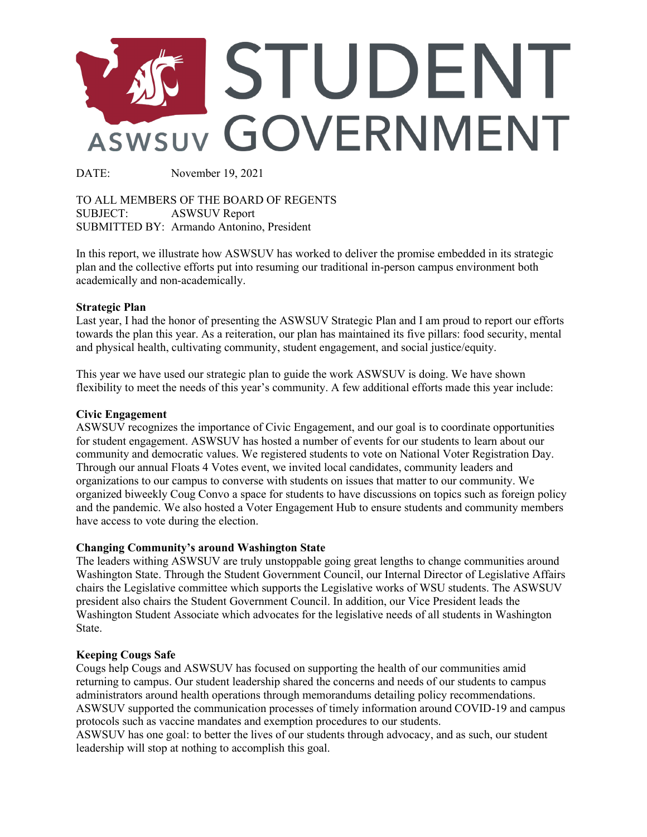

DATE: November 19, 2021

TO ALL MEMBERS OF THE BOARD OF REGENTS SUBJECT: ASWSUV Report SUBMITTED BY: Armando Antonino, President

In this report, we illustrate how ASWSUV has worked to deliver the promise embedded in its strategic plan and the collective efforts put into resuming our traditional in-person campus environment both academically and non-academically.

#### **Strategic Plan**

Last year, I had the honor of presenting the ASWSUV Strategic Plan and I am proud to report our efforts towards the plan this year. As a reiteration, our plan has maintained its five pillars: food security, mental and physical health, cultivating community, student engagement, and social justice/equity.

This year we have used our strategic plan to guide the work ASWSUV is doing. We have shown flexibility to meet the needs of this year's community. A few additional efforts made this year include:

#### **Civic Engagement**

ASWSUV recognizes the importance of Civic Engagement, and our goal is to coordinate opportunities for student engagement. ASWSUV has hosted a number of events for our students to learn about our community and democratic values. We registered students to vote on National Voter Registration Day. Through our annual Floats 4 Votes event, we invited local candidates, community leaders and organizations to our campus to converse with students on issues that matter to our community. We organized biweekly Coug Convo a space for students to have discussions on topics such as foreign policy and the pandemic. We also hosted a Voter Engagement Hub to ensure students and community members have access to vote during the election.

#### **Changing Community's around Washington State**

The leaders withing ASWSUV are truly unstoppable going great lengths to change communities around Washington State. Through the Student Government Council, our Internal Director of Legislative Affairs chairs the Legislative committee which supports the Legislative works of WSU students. The ASWSUV president also chairs the Student Government Council. In addition, our Vice President leads the Washington Student Associate which advocates for the legislative needs of all students in Washington State.

#### **Keeping Cougs Safe**

Cougs help Cougs and ASWSUV has focused on supporting the health of our communities amid returning to campus. Our student leadership shared the concerns and needs of our students to campus administrators around health operations through memorandums detailing policy recommendations. ASWSUV supported the communication processes of timely information around COVID-19 and campus protocols such as vaccine mandates and exemption procedures to our students.

ASWSUV has one goal: to better the lives of our students through advocacy, and as such, our student leadership will stop at nothing to accomplish this goal.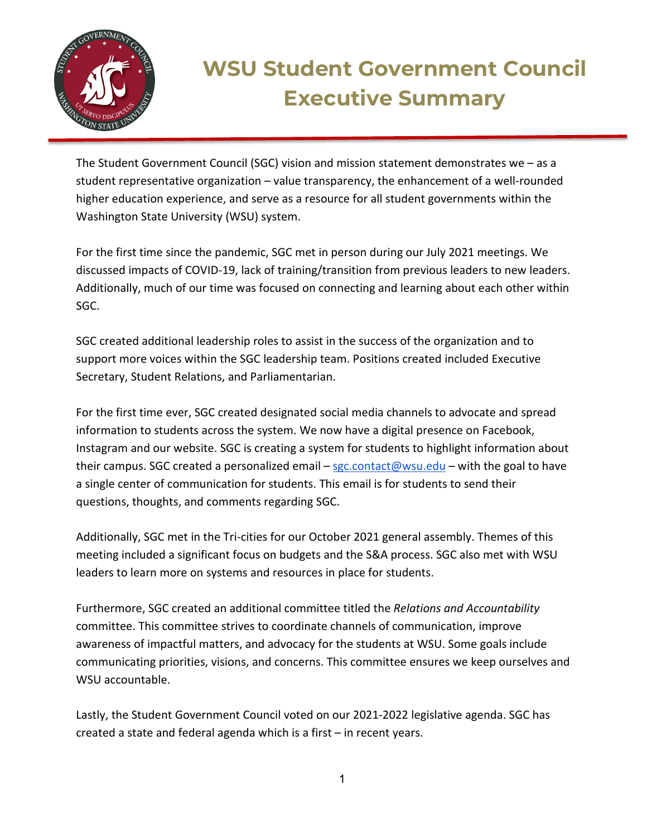

# **WSU Student Government Council Executive Summary**

The Student Government Council (SGC) vision and mission statement demonstrates we – as a student representative organization – value transparency, the enhancement of a well-rounded higher education experience, and serve as a resource for all student governments within the Washington State University (WSU) system.

For the first time since the pandemic, SGC met in person during our July 2021 meetings. We discussed impacts of COVID-19, lack of training/transition from previous leaders to new leaders. Additionally, much of our time was focused on connecting and learning about each other within SGC.

SGC created additional leadership roles to assist in the success of the organization and to support more voices within the SGC leadership team. Positions created included Executive Secretary, Student Relations, and Parliamentarian.

For the first time ever, SGC created designated social media channels to advocate and spread information to students across the system. We now have a digital presence on Facebook, Instagram and our website. SGC is creating a system for students to highlight information about their campus. SGC created a personalized email – [sgc.contact@wsu.edu](mailto:sgc.contact@wsu.edu) – with the goal to have a single center of communication for students. This email is for students to send their questions, thoughts, and comments regarding SGC.

Additionally, SGC met in the Tri-cities for our October 2021 general assembly. Themes of this meeting included a significant focus on budgets and the S&A process. SGC also met with WSU leaders to learn more on systems and resources in place for students.

Furthermore, SGC created an additional committee titled the *Relations and Accountability* committee. This committee strives to coordinate channels of communication, improve awareness of impactful matters, and advocacy for the students at WSU. Some goals include communicating priorities, visions, and concerns. This committee ensures we keep ourselves and WSU accountable.

Lastly, the Student Government Council voted on our 2021-2022 legislative agenda. SGC has created a state and federal agenda which is a first – in recent years.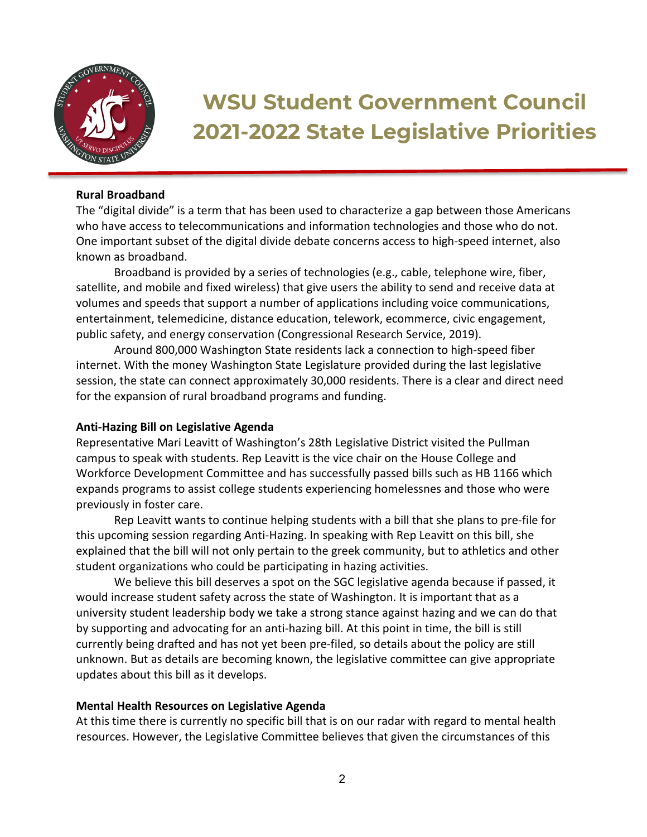

# **WSU Student Government Council 2021-2022 State Legislative Priorities**

#### **Rural Broadband**

The "digital divide" is a term that has been used to characterize a gap between those Americans who have access to telecommunications and information technologies and those who do not. One important subset of the digital divide debate concerns access to high-speed internet, also known as broadband.

Broadband is provided by a series of technologies (e.g., cable, telephone wire, fiber, satellite, and mobile and fixed wireless) that give users the ability to send and receive data at volumes and speeds that support a number of applications including voice communications, entertainment, telemedicine, distance education, telework, ecommerce, civic engagement, public safety, and energy conservation (Congressional Research Service, 2019).

Around 800,000 Washington State residents lack a connection to high-speed fiber internet. With the money Washington State Legislature provided during the last legislative session, the state can connect approximately 30,000 residents. There is a clear and direct need for the expansion of rural broadband programs and funding.

## **Anti-Hazing Bill on Legislative Agenda**

Representative Mari Leavitt of Washington's 28th Legislative District visited the Pullman campus to speak with students. Rep Leavitt is the vice chair on the House College and Workforce Development Committee and has successfully passed bills such as HB 1166 which expands programs to assist college students experiencing homelessnes and those who were previously in foster care.

Rep Leavitt wants to continue helping students with a bill that she plans to pre-file for this upcoming session regarding Anti-Hazing. In speaking with Rep Leavitt on this bill, she explained that the bill will not only pertain to the greek community, but to athletics and other student organizations who could be participating in hazing activities.

We believe this bill deserves a spot on the SGC legislative agenda because if passed, it would increase student safety across the state of Washington. It is important that as a university student leadership body we take a strong stance against hazing and we can do that by supporting and advocating for an anti-hazing bill. At this point in time, the bill is still currently being drafted and has not yet been pre-filed, so details about the policy are still unknown. But as details are becoming known, the legislative committee can give appropriate updates about this bill as it develops.

## **Mental Health Resources on Legislative Agenda**

At this time there is currently no specific bill that is on our radar with regard to mental health resources. However, the Legislative Committee believes that given the circumstances of this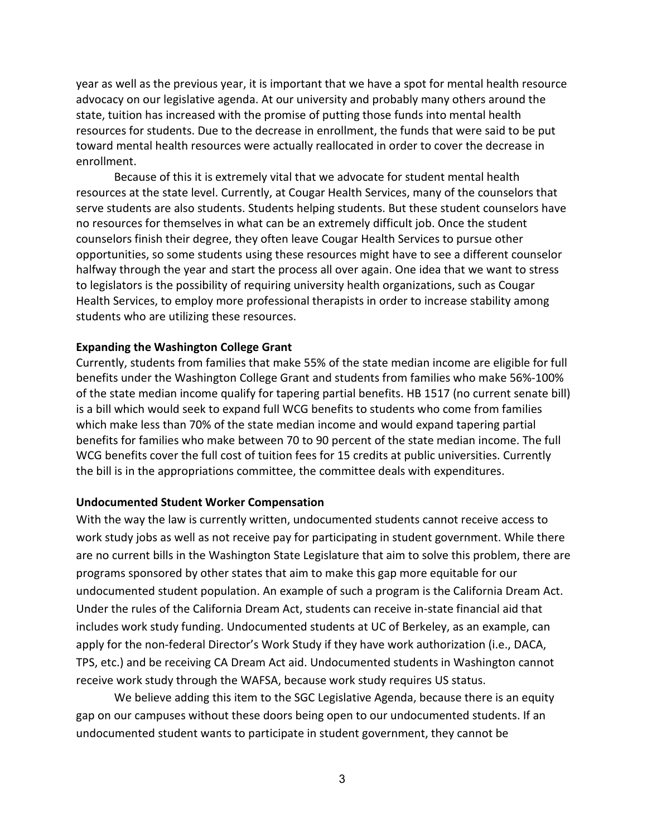year as well as the previous year, it is important that we have a spot for mental health resource advocacy on our legislative agenda. At our university and probably many others around the state, tuition has increased with the promise of putting those funds into mental health resources for students. Due to the decrease in enrollment, the funds that were said to be put toward mental health resources were actually reallocated in order to cover the decrease in enrollment.

Because of this it is extremely vital that we advocate for student mental health resources at the state level. Currently, at Cougar Health Services, many of the counselors that serve students are also students. Students helping students. But these student counselors have no resources for themselves in what can be an extremely difficult job. Once the student counselors finish their degree, they often leave Cougar Health Services to pursue other opportunities, so some students using these resources might have to see a different counselor halfway through the year and start the process all over again. One idea that we want to stress to legislators is the possibility of requiring university health organizations, such as Cougar Health Services, to employ more professional therapists in order to increase stability among students who are utilizing these resources.

#### **Expanding the Washington College Grant**

Currently, students from families that make 55% of the state median income are eligible for full benefits under the Washington College Grant and students from families who make 56%-100% of the state median income qualify for tapering partial benefits. HB 1517 (no current senate bill) is a bill which would seek to expand full WCG benefits to students who come from families which make less than 70% of the state median income and would expand tapering partial benefits for families who make between 70 to 90 percent of the state median income. The full WCG benefits cover the full cost of tuition fees for 15 credits at public universities. Currently the bill is in the appropriations committee, the committee deals with expenditures.

#### **Undocumented Student Worker Compensation**

With the way the law is currently written, undocumented students cannot receive access to work study jobs as well as not receive pay for participating in student government. While there are no current bills in the Washington State Legislature that aim to solve this problem, there are programs sponsored by other states that aim to make this gap more equitable for our undocumented student population. An example of such a program is the California Dream Act. Under the rules of the California Dream Act, students can receive in-state financial aid that includes work study funding. Undocumented students at UC of Berkeley, as an example, can apply for the non-federal Director's Work Study if they have work authorization (i.e., DACA, TPS, etc.) and be receiving CA Dream Act aid. Undocumented students in Washington cannot receive work study through the WAFSA, because work study requires US status.

We believe adding this item to the SGC Legislative Agenda, because there is an equity gap on our campuses without these doors being open to our undocumented students. If an undocumented student wants to participate in student government, they cannot be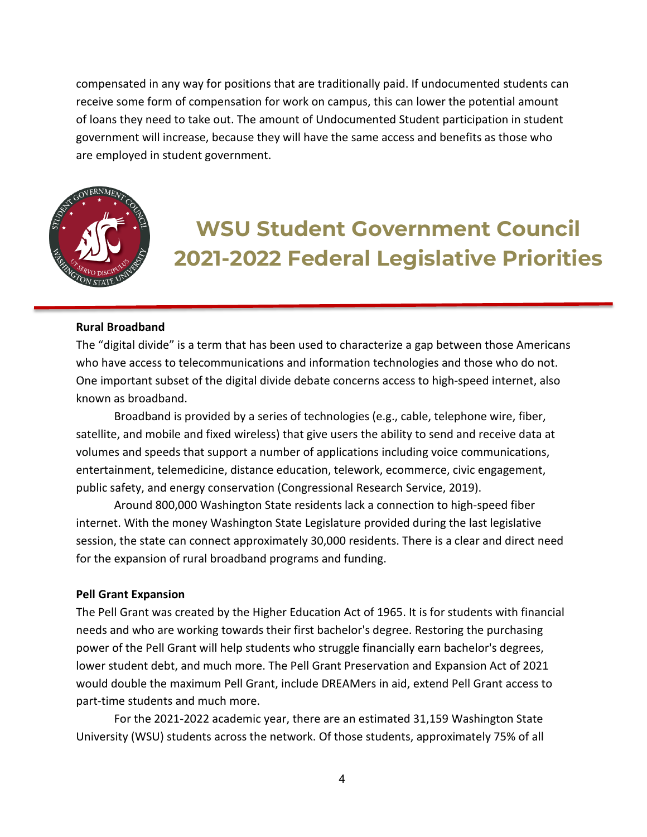compensated in any way for positions that are traditionally paid. If undocumented students can receive some form of compensation for work on campus, this can lower the potential amount of loans they need to take out. The amount of Undocumented Student participation in student government will increase, because they will have the same access and benefits as those who are employed in student government.



# **WSU Student Government Council 2021-2022 Federal Legislative Priorities**

#### **Rural Broadband**

The "digital divide" is a term that has been used to characterize a gap between those Americans who have access to telecommunications and information technologies and those who do not. One important subset of the digital divide debate concerns access to high-speed internet, also known as broadband.

Broadband is provided by a series of technologies (e.g., cable, telephone wire, fiber, satellite, and mobile and fixed wireless) that give users the ability to send and receive data at volumes and speeds that support a number of applications including voice communications, entertainment, telemedicine, distance education, telework, ecommerce, civic engagement, public safety, and energy conservation (Congressional Research Service, 2019).

Around 800,000 Washington State residents lack a connection to high-speed fiber internet. With the money Washington State Legislature provided during the last legislative session, the state can connect approximately 30,000 residents. There is a clear and direct need for the expansion of rural broadband programs and funding.

#### **Pell Grant Expansion**

The Pell Grant was created by the Higher Education Act of 1965. It is for students with financial needs and who are working towards their first bachelor's degree. Restoring the purchasing power of the Pell Grant will help students who struggle financially earn bachelor's degrees, lower student debt, and much more. The Pell Grant Preservation and Expansion Act of 2021 would double the maximum Pell Grant, include DREAMers in aid, extend Pell Grant access to part-time students and much more.

For the 2021-2022 academic year, there are an estimated 31,159 Washington State University (WSU) students across the network. Of those students, approximately 75% of all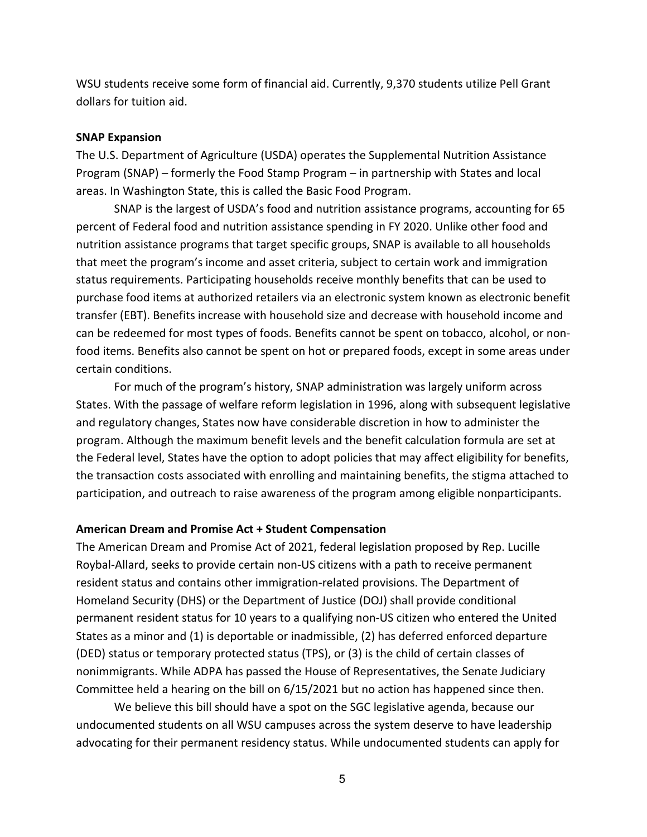WSU students receive some form of financial aid. Currently, 9,370 students utilize Pell Grant dollars for tuition aid.

#### **SNAP Expansion**

The U.S. Department of Agriculture (USDA) operates the Supplemental Nutrition Assistance Program (SNAP) – formerly the Food Stamp Program – in partnership with States and local areas. In Washington State, this is called the Basic Food Program.

SNAP is the largest of USDA's food and nutrition assistance programs, accounting for 65 percent of Federal food and nutrition assistance spending in FY 2020. Unlike other food and nutrition assistance programs that target specific groups, SNAP is available to all households that meet the program's income and asset criteria, subject to certain work and immigration status requirements. Participating households receive monthly benefits that can be used to purchase food items at authorized retailers via an electronic system known as electronic benefit transfer (EBT). Benefits increase with household size and decrease with household income and can be redeemed for most types of foods. Benefits cannot be spent on tobacco, alcohol, or nonfood items. Benefits also cannot be spent on hot or prepared foods, except in some areas under certain conditions.

For much of the program's history, SNAP administration was largely uniform across States. With the passage of welfare reform legislation in 1996, along with subsequent legislative and regulatory changes, States now have considerable discretion in how to administer the program. Although the maximum benefit levels and the benefit calculation formula are set at the Federal level, States have the option to adopt policies that may affect eligibility for benefits, the transaction costs associated with enrolling and maintaining benefits, the stigma attached to participation, and outreach to raise awareness of the program among eligible nonparticipants.

#### **American Dream and Promise Act + Student Compensation**

The American Dream and Promise Act of 2021, federal legislation proposed by Rep. Lucille Roybal-Allard, seeks to provide certain non-US citizens with a path to receive permanent resident status and contains other immigration-related provisions. The Department of Homeland Security (DHS) or the Department of Justice (DOJ) shall provide conditional permanent resident status for 10 years to a qualifying non-US citizen who entered the United States as a minor and (1) is deportable or inadmissible, (2) has deferred enforced departure (DED) status or temporary protected status (TPS), or (3) is the child of certain classes of nonimmigrants. While ADPA has passed the House of Representatives, the Senate Judiciary Committee held a hearing on the bill on 6/15/2021 but no action has happened since then.

We believe this bill should have a spot on the SGC legislative agenda, because our undocumented students on all WSU campuses across the system deserve to have leadership advocating for their permanent residency status. While undocumented students can apply for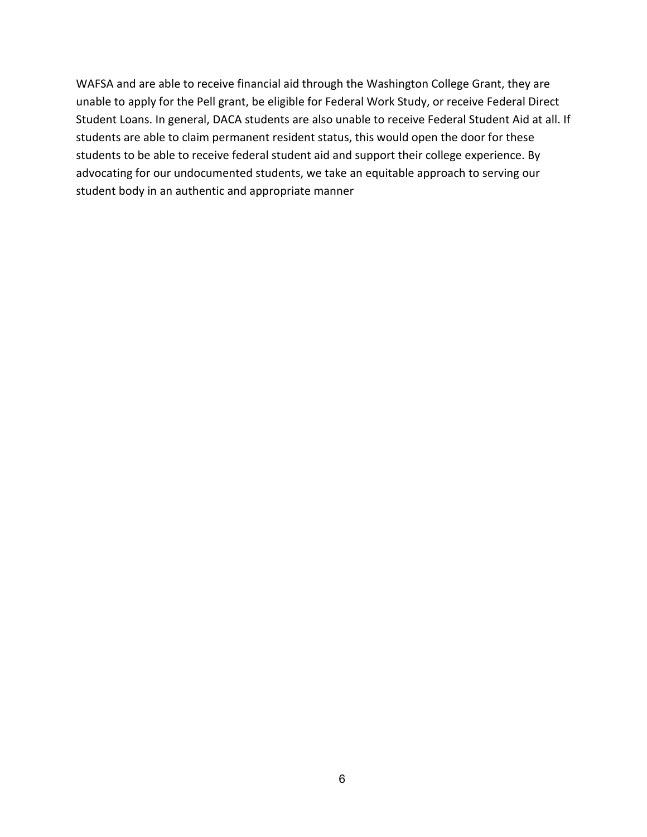WAFSA and are able to receive financial aid through the Washington College Grant, they are unable to apply for the Pell grant, be eligible for Federal Work Study, or receive Federal Direct Student Loans. In general, DACA students are also unable to receive Federal Student Aid at all. If students are able to claim permanent resident status, this would open the door for these students to be able to receive federal student aid and support their college experience. By advocating for our undocumented students, we take an equitable approach to serving our student body in an authentic and appropriate manner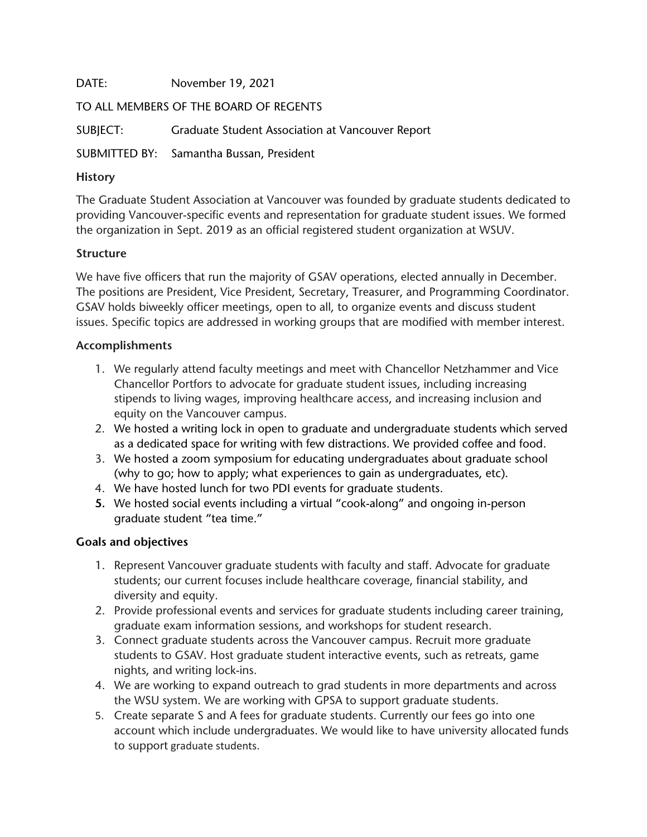DATE: November 19, 2021

TO ALL MEMBERS OF THE BOARD OF REGENTS

SUBJECT: Graduate Student Association at Vancouver Report

SUBMITTED BY: Samantha Bussan, President

# **History**

The Graduate Student Association at Vancouver was founded by graduate students dedicated to providing Vancouver-specific events and representation for graduate student issues. We formed the organization in Sept. 2019 as an official registered student organization at WSUV.

# **Structure**

We have five officers that run the majority of GSAV operations, elected annually in December. The positions are President, Vice President, Secretary, Treasurer, and Programming Coordinator. GSAV holds biweekly officer meetings, open to all, to organize events and discuss student issues. Specific topics are addressed in working groups that are modified with member interest.

# **Accomplishments**

- 1. We regularly attend faculty meetings and meet with Chancellor Netzhammer and Vice Chancellor Portfors to advocate for graduate student issues, including increasing stipends to living wages, improving healthcare access, and increasing inclusion and equity on the Vancouver campus.
- 2. We hosted a writing lock in open to graduate and undergraduate students which served as a dedicated space for writing with few distractions. We provided coffee and food.
- 3. We hosted a zoom symposium for educating undergraduates about graduate school (why to go; how to apply; what experiences to gain as undergraduates, etc).
- 4. We have hosted lunch for two PDI events for graduate students.
- **5.** We hosted social events including a virtual "cook-along" and ongoing in-person graduate student "tea time."

# **Goals and objectives**

- 1. Represent Vancouver graduate students with faculty and staff. Advocate for graduate students; our current focuses include healthcare coverage, financial stability, and diversity and equity.
- 2. Provide professional events and services for graduate students including career training, graduate exam information sessions, and workshops for student research.
- 3. Connect graduate students across the Vancouver campus. Recruit more graduate students to GSAV. Host graduate student interactive events, such as retreats, game nights, and writing lock-ins.
- 4. We are working to expand outreach to grad students in more departments and across the WSU system. We are working with GPSA to support graduate students.
- 5. Create separate S and A fees for graduate students. Currently our fees go into one account which include undergraduates. We would like to have university allocated funds to support graduate students.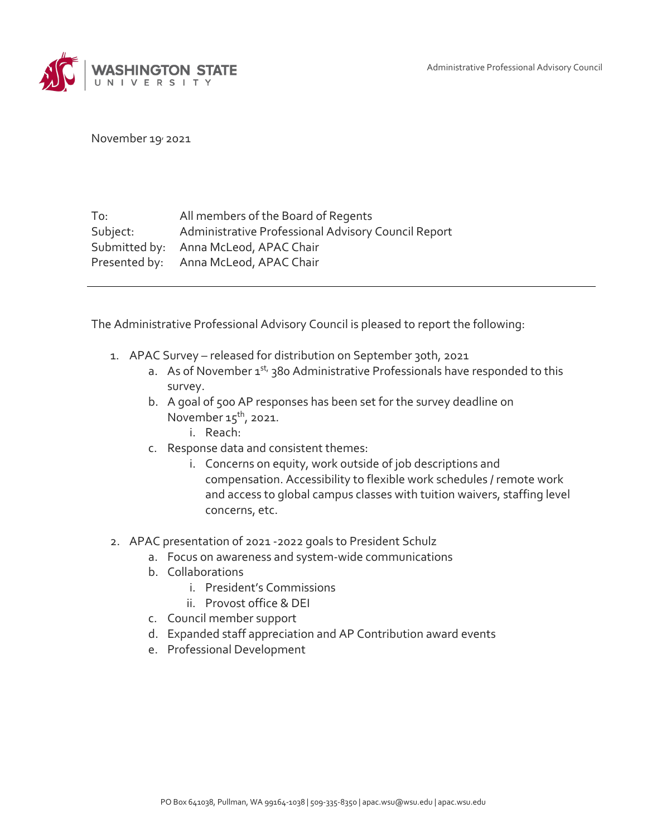Administrative Professional Advisory Council



November 19, 2021

| To:      | All members of the Board of Regents                 |
|----------|-----------------------------------------------------|
| Subject: | Administrative Professional Advisory Council Report |
|          | Submitted by: Anna McLeod, APAC Chair               |
|          | Presented by: Anna McLeod, APAC Chair               |

The Administrative Professional Advisory Council is pleased to report the following:

- 1. APAC Survey released for distribution on September 30th, 2021
	- a. As of November 1<sup>st,</sup> 380 Administrative Professionals have responded to this survey.
	- b. A goal of 500 AP responses has been set for the survey deadline on November  $15<sup>th</sup>$ , 2021.
		- i. Reach:
	- c. Response data and consistent themes:
		- i. Concerns on equity, work outside of job descriptions and compensation. Accessibility to flexible work schedules / remote work and access to global campus classes with tuition waivers, staffing level concerns, etc.
- 2. APAC presentation of 2021 -2022 goals to President Schulz
	- a. Focus on awareness and system-wide communications
	- b. Collaborations
		- i. President's Commissions
		- ii. Provost office & DEI
	- c. Council member support
	- d. Expanded staff appreciation and AP Contribution award events
	- e. Professional Development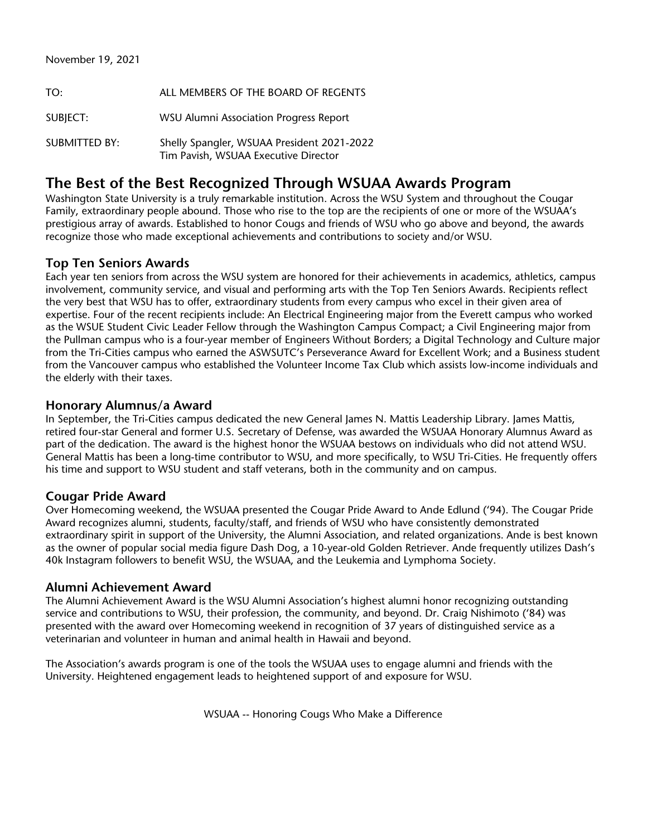| TO:                  | ALL MEMBERS OF THE BOARD OF REGENTS                                                |
|----------------------|------------------------------------------------------------------------------------|
| SUBJECT:             | <b>WSU Alumni Association Progress Report</b>                                      |
| <b>SUBMITTED BY:</b> | Shelly Spangler, WSUAA President 2021-2022<br>Tim Pavish, WSUAA Executive Director |

# **The Best of the Best Recognized Through WSUAA Awards Program**

Washington State University is a truly remarkable institution. Across the WSU System and throughout the Cougar Family, extraordinary people abound. Those who rise to the top are the recipients of one or more of the WSUAA's prestigious array of awards. Established to honor Cougs and friends of WSU who go above and beyond, the awards recognize those who made exceptional achievements and contributions to society and/or WSU.

## **Top Ten Seniors Awards**

Each year ten seniors from across the WSU system are honored for their achievements in academics, athletics, campus involvement, community service, and visual and performing arts with the Top Ten Seniors Awards. Recipients reflect the very best that WSU has to offer, extraordinary students from every campus who excel in their given area of expertise. Four of the recent recipients include: An Electrical Engineering major from the Everett campus who worked as the WSUE Student Civic Leader Fellow through the Washington Campus Compact; a Civil Engineering major from the Pullman campus who is a four-year member of Engineers Without Borders; a Digital Technology and Culture major from the Tri-Cities campus who earned the ASWSUTC's Perseverance Award for Excellent Work; and a Business student from the Vancouver campus who established the Volunteer Income Tax Club which assists low-income individuals and the elderly with their taxes.

## **Honorary Alumnus/a Award**

In September, the Tri-Cities campus dedicated the new General James N. Mattis Leadership Library. James Mattis, retired four-star General and former U.S. Secretary of Defense, was awarded the WSUAA Honorary Alumnus Award as part of the dedication. The award is the highest honor the WSUAA bestows on individuals who did not attend WSU. General Mattis has been a long-time contributor to WSU, and more specifically, to WSU Tri-Cities. He frequently offers his time and support to WSU student and staff veterans, both in the community and on campus.

# **Cougar Pride Award**

Over Homecoming weekend, the WSUAA presented the Cougar Pride Award to Ande Edlund ('94). The Cougar Pride Award recognizes alumni, students, faculty/staff, and friends of WSU who have consistently demonstrated extraordinary spirit in support of the University, the Alumni Association, and related organizations. Ande is best known as the owner of popular social media figure Dash Dog, a 10-year-old Golden Retriever. Ande frequently utilizes Dash's 40k Instagram followers to benefit WSU, the WSUAA, and the Leukemia and Lymphoma Society.

## **Alumni Achievement Award**

The Alumni Achievement Award is the WSU Alumni Association's highest alumni honor recognizing outstanding service and contributions to WSU, their profession, the community, and beyond. Dr. Craig Nishimoto ('84) was presented with the award over Homecoming weekend in recognition of 37 years of distinguished service as a veterinarian and volunteer in human and animal health in Hawaii and beyond.

The Association's awards program is one of the tools the WSUAA uses to engage alumni and friends with the University. Heightened engagement leads to heightened support of and exposure for WSU.

WSUAA -- Honoring Cougs Who Make a Difference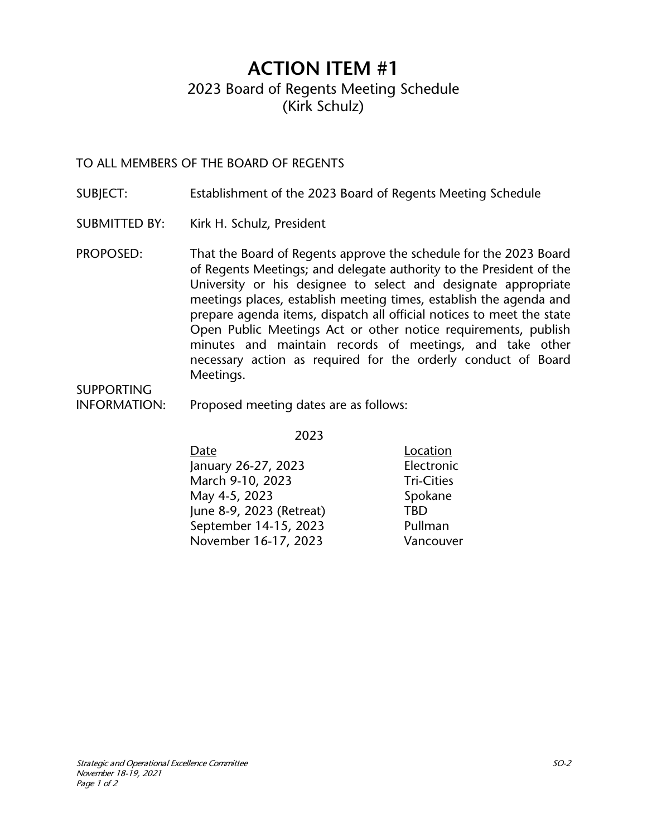# **ACTION ITEM #1** 2023 Board of Regents Meeting Schedule (Kirk Schulz)

TO ALL MEMBERS OF THE BOARD OF REGENTS

- SUBJECT: Establishment of the 2023 Board of Regents Meeting Schedule
- SUBMITTED BY: Kirk H. Schulz, President
- PROPOSED: That the Board of Regents approve the schedule for the 2023 Board of Regents Meetings; and delegate authority to the President of the University or his designee to select and designate appropriate meetings places, establish meeting times, establish the agenda and prepare agenda items, dispatch all official notices to meet the state Open Public Meetings Act or other notice requirements, publish minutes and maintain records of meetings, and take other necessary action as required for the orderly conduct of Board Meetings.

SUPPORTING

INFORMATION: Proposed meeting dates are as follows:

2023

| Date                     | Location          |
|--------------------------|-------------------|
| January 26-27, 2023      | Electronic        |
| March 9-10, 2023         | <b>Tri-Cities</b> |
| May 4-5, 2023            | Spokane           |
| June 8-9, 2023 (Retreat) | TBD               |
| September 14-15, 2023    | Pullman           |
| November 16-17, 2023     | Vancouver         |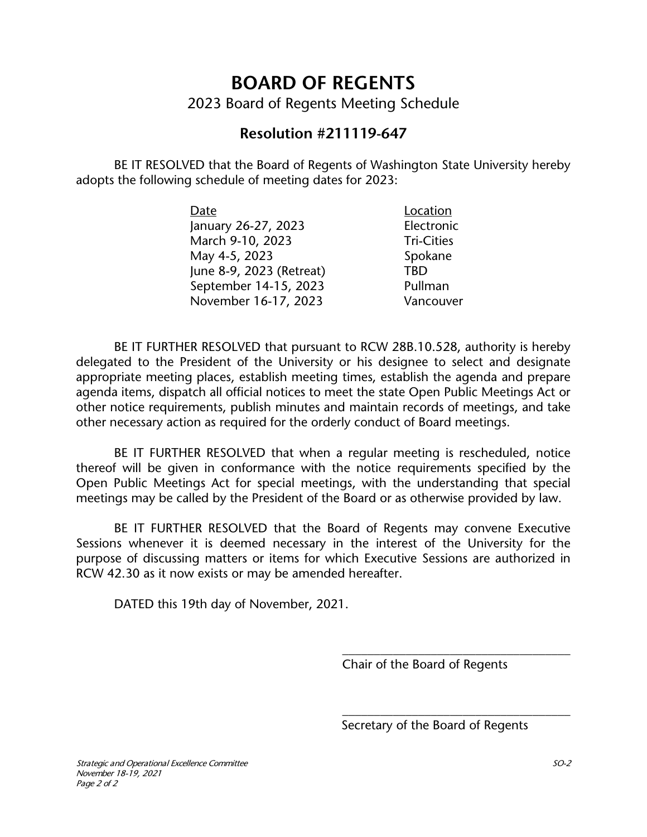# **BOARD OF REGENTS**

2023 Board of Regents Meeting Schedule

# **Resolution #211119-647**

BE IT RESOLVED that the Board of Regents of Washington State University hereby adopts the following schedule of meeting dates for 2023:

| Date                     | Location          |
|--------------------------|-------------------|
| January 26-27, 2023      | Electronic        |
| March 9-10, 2023         | <b>Tri-Cities</b> |
| May 4-5, 2023            | Spokane           |
| June 8-9, 2023 (Retreat) | TRD               |
| September 14-15, 2023    | Pullman           |
| November 16-17, 2023     | Vancouver         |

BE IT FURTHER RESOLVED that pursuant to RCW 28B.10.528, authority is hereby delegated to the President of the University or his designee to select and designate appropriate meeting places, establish meeting times, establish the agenda and prepare agenda items, dispatch all official notices to meet the state Open Public Meetings Act or other notice requirements, publish minutes and maintain records of meetings, and take other necessary action as required for the orderly conduct of Board meetings.

BE IT FURTHER RESOLVED that when a regular meeting is rescheduled, notice thereof will be given in conformance with the notice requirements specified by the Open Public Meetings Act for special meetings, with the understanding that special meetings may be called by the President of the Board or as otherwise provided by law.

BE IT FURTHER RESOLVED that the Board of Regents may convene Executive Sessions whenever it is deemed necessary in the interest of the University for the purpose of discussing matters or items for which Executive Sessions are authorized in RCW 42.30 as it now exists or may be amended hereafter.

DATED this 19th day of November, 2021.

Chair of the Board of Regents

\_\_\_\_\_\_\_\_\_\_\_\_\_\_\_\_\_\_\_\_\_\_\_\_\_\_\_\_\_\_\_\_\_\_\_\_

\_\_\_\_\_\_\_\_\_\_\_\_\_\_\_\_\_\_\_\_\_\_\_\_\_\_\_\_\_\_\_\_\_\_\_\_

Secretary of the Board of Regents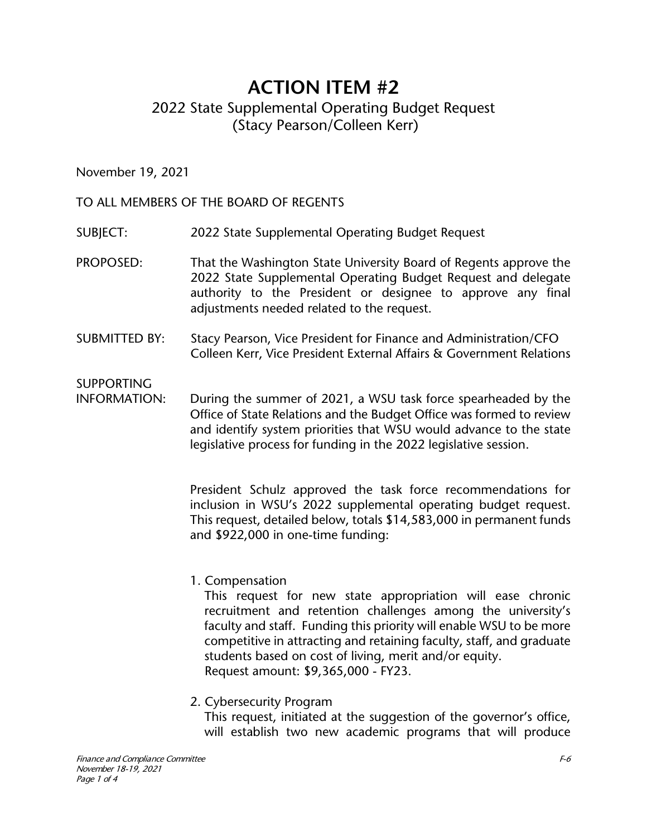# **ACTION ITEM #2** 2022 State Supplemental Operating Budget Request (Stacy Pearson/Colleen Kerr)

November 19, 2021

TO ALL MEMBERS OF THE BOARD OF REGENTS

SUBJECT: 2022 State Supplemental Operating Budget Request

- PROPOSED: That the Washington State University Board of Regents approve the 2022 State Supplemental Operating Budget Request and delegate authority to the President or designee to approve any final adjustments needed related to the request.
- SUBMITTED BY: Stacy Pearson, Vice President for Finance and Administration/CFO Colleen Kerr, Vice President External Affairs & Government Relations

SUPPORTING

INFORMATION: During the summer of 2021, a WSU task force spearheaded by the Office of State Relations and the Budget Office was formed to review and identify system priorities that WSU would advance to the state legislative process for funding in the 2022 legislative session.

> President Schulz approved the task force recommendations for inclusion in WSU's 2022 supplemental operating budget request. This request, detailed below, totals \$14,583,000 in permanent funds and \$922,000 in one-time funding:

1. Compensation

This request for new state appropriation will ease chronic recruitment and retention challenges among the university's faculty and staff. Funding this priority will enable WSU to be more competitive in attracting and retaining faculty, staff, and graduate students based on cost of living, merit and/or equity. Request amount: \$9,365,000 - FY23.

2. Cybersecurity Program

This request, initiated at the suggestion of the governor's office, will establish two new academic programs that will produce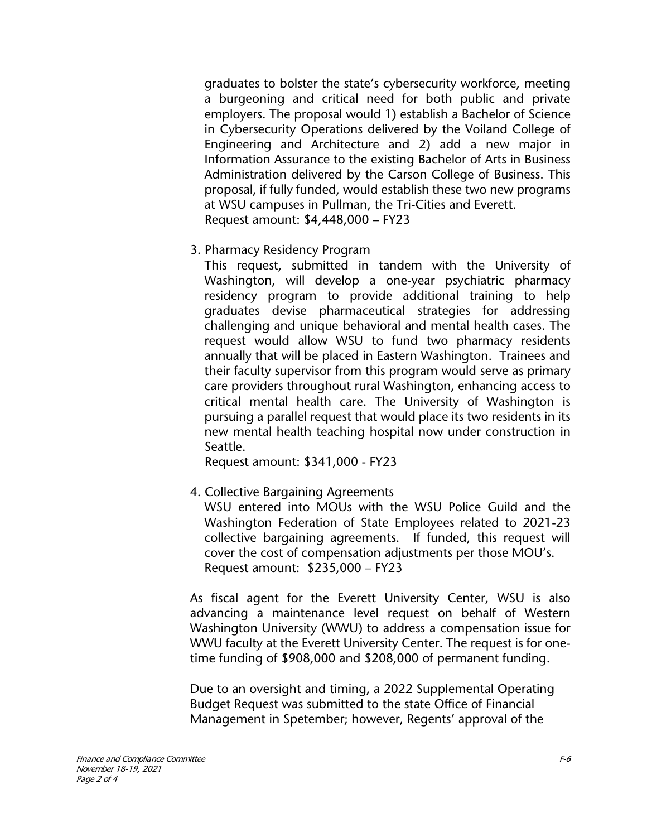graduates to bolster the state's cybersecurity workforce, meeting a burgeoning and critical need for both public and private employers. The proposal would 1) establish a Bachelor of Science in Cybersecurity Operations delivered by the Voiland College of Engineering and Architecture and 2) add a new major in Information Assurance to the existing Bachelor of Arts in Business Administration delivered by the Carson College of Business. This proposal, if fully funded, would establish these two new programs at WSU campuses in Pullman, the Tri-Cities and Everett. Request amount: \$4,448,000 – FY23

3. Pharmacy Residency Program

This request, submitted in tandem with the University of Washington, will develop a one-year psychiatric pharmacy residency program to provide additional training to help graduates devise pharmaceutical strategies for addressing challenging and unique behavioral and mental health cases. The request would allow WSU to fund two pharmacy residents annually that will be placed in Eastern Washington. Trainees and their faculty supervisor from this program would serve as primary care providers throughout rural Washington, enhancing access to critical mental health care. The University of Washington is pursuing a parallel request that would place its two residents in its new mental health teaching hospital now under construction in Seattle.

Request amount: \$341,000 - FY23

4. Collective Bargaining Agreements

WSU entered into MOUs with the WSU Police Guild and the Washington Federation of State Employees related to 2021-23 collective bargaining agreements. If funded, this request will cover the cost of compensation adjustments per those MOU's. Request amount: \$235,000 – FY23

As fiscal agent for the Everett University Center, WSU is also advancing a maintenance level request on behalf of Western Washington University (WWU) to address a compensation issue for WWU faculty at the Everett University Center. The request is for onetime funding of \$908,000 and \$208,000 of permanent funding.

Due to an oversight and timing, a 2022 Supplemental Operating Budget Request was submitted to the state Office of Financial Management in Spetember; however, Regents' approval of the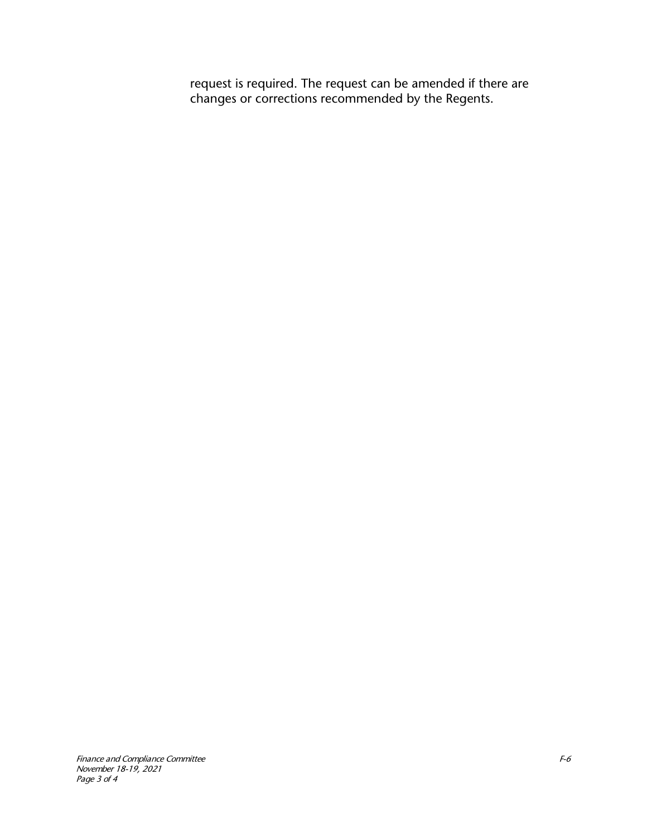request is required. The request can be amended if there are changes or corrections recommended by the Regents.